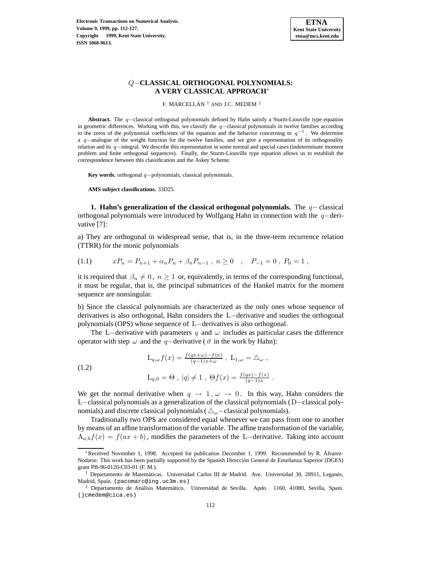

# Q−**CLASSICAL ORTHOGONAL POLYNOMIALS: A VERY CLASSICAL APPROACH**<sup>∗</sup>

F. MARCELLÁN<sup>†</sup> AND J.C. MEDEM<sup>‡</sup>

**Abstract.** The q−classical orthogonal polynomials defined by Hahn satisfy a Sturm-Liouville type equation in geometric differences. Working with this, we classify the q−classical polynomials in twelve families according to the zeros of the polynomial coefficients of the equation and the behavior concerning to  $q^{-1}$ . We determine a q−analogue of the weight function for the twelve families, and we give a representation of its orthogonality relation and its q−integral. We describe this representation in some normal and special cases (indeterminate moment problem and finite orthogonal sequences). Finally, the Sturm-Liouville type equation allows us to establish the correspondence between this classification and the Askey Scheme.

**Key words.** orthogonal q−polynomials, classical polynomials.

**AMS subject classifications.** 33D25.

**1. Hahn's generalization of the classical orthogonal polynomials.** The q− classical orthogonal polynomials were introduced by Wolfgang Hahn in connection with the q−derivative [7]:

a) They are orthogonal in widespread sense, that is, in the three-term recurrence relation (TTRR) for the monic polynomials

$$
(1.1) \t xP_n = P_{n+1} + \alpha_n P_n + \beta_n P_{n-1} , n \ge 0 , P_{-1} = 0 , P_0 = 1 ,
$$

it is required that  $\beta_n \neq 0$ ,  $n \geq 1$  or, equivalently, in terms of the corresponding functional, it must be regular, that is, the principal submatrices of the Hankel matrix for the moment sequence are nonsingular.

b) Since the classical polynomials are characterized as the only ones whose sequence of derivatives is also orthogonal, Hahn considers the L−derivative and studies the orthogonal polynomials (OPS) whose sequence of L−derivatives is also orthogonal.

The L−derivative with parameters q and  $\omega$  includes as particular cases the difference operator with step  $\omega$  and the q−derivative ( $\vartheta$  in the work by Hahn):

(1.2)  
\n
$$
L_{q,\omega} f(x) = \frac{f(qx+\omega)-f(x)}{(q-1)x+\omega}, L_{1,\omega} = \Delta_{\omega},
$$
\n
$$
L_{q,0} = \Theta, |q| \neq 1, \Theta f(x) = \frac{f(qx)-f(x)}{(q-1)x}.
$$

We get the normal derivative when  $q \to 1, \omega \to 0$ . In this way, Hahn considers the L−classical polynomials as a generalization of the classical polynomials (D−classical polynomials) and discrete classical polynomials ( $\triangle_{\omega}$  – classical polynomials).

Traditionally two OPS are considered equal whenever we can pass from one to another by means of an affine transformation of the variable. The affine transformation of the variable,  $A_{a,b}f(x) = f(ax + b)$ , modifies the parameters of the L−derivative. Taking into account

<sup>∗</sup>Received November 1, 1998. Accepted for publication December 1, 1999. Recommended by R. Alvarez- ´ Nodarse. This work has been partially supported by the Spanish Dirección General de Enseñanza Superior (DGES) grant PB-96-0120-C03-01 (F. M.).

<sup>&</sup>lt;sup>†</sup> Departamento de Matemáticas. Universidad Carlos III de Madrid. Ave. Universidad 30, 28911, Leganés, Madrid, Spain. (pacomarc@ing.uc3m.es)

<sup>‡</sup> Departamento de An´alisis Matem´atico. Universidad de Sevilla. Apdo. 1160, 41080, Sevilla, Spain. (jcmedem@cica.es)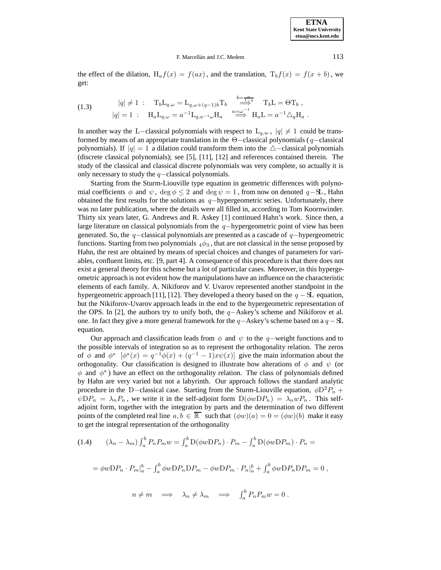the effect of the dilation,  $H_a f(x) = f(ax)$ , and the translation,  $T_b f(x) = f(x + b)$ , we get:

(1.3) 
$$
|q| \neq 1
$$
:  $T_b L_{q,\omega} = L_{q,\omega + (q-1)b} T_b \xrightarrow{b = \frac{\omega}{1-q}} T_b L = \Theta T_b$ ,  
 $|q| = 1$ :  $H_a L_{q,\omega} = a^{-1} L_{q,a^{-1}\omega} H_a \xrightarrow{a = \omega^{-1}} H_a L = a^{-1} \triangle_q H_a$ .

In another way the L−classical polynomials with respect to  $L_{q,w}$ ,  $|q| \neq 1$  could be transformed by means of an appropriate translation in the Θ−classical polynomials ( q−classical polynomials). If  $|q| = 1$  a dilation could transform them into the  $\triangle$ -classical polynomials (discrete classical polynomials); see [5], [11], [12] and references contained therein. The study of the classical and classical discrete polynomials was very complete, so actually it is only necessary to study the  $q$ −classical polynomials.

Starting from the Sturm-Liouville type equation in geometric differences with polynomial coefficients  $\phi$  and  $\psi$ , deg  $\phi \leq 2$  and deg  $\psi = 1$ , from now on denoted  $q-\mathbf{S}$ , Hahn obtained the first results for the solutions as  $q$ -hypergeometric series. Unfortunately, there was no later publication, where the details were all filled in, according to Tom Koornwinder. Thirty six years later, G. Andrews and R. Askey [1] continued Hahn's work. Since then, a large literature on classical polynomials from the  $q$ −hypergeometric point of view has been generated. So, the q−classical polynomials are presented as a cascade of q−hypergeometric functions. Starting from two polynomials  $_4\phi_3$ , that are not classical in the sense proposed by Hahn, the rest are obtained by means of special choices and changes of parameters for variables, confluent limits, etc. [9, part 4]. A consequence of this procedure is that there does not exist a general theory for this scheme but a lot of particular cases. Moreover, in this hypergeometric approach is not evident how the manipulations have an influence on the characteristic elements of each family. A. Nikiforov and V. Uvarov represented another standpoint in the hypergeometric approach [11], [12]. They developed a theory based on the  $q - S<sub>L</sub>$  equation, but the Nikiforov-Uvarov approach leads in the end to the hypergeometric representation of the OPS. In [2], the authors try to unify both, the  $q-\text{Askey's scheme}$  and Nikiforov et al. one. In fact they give a more general framework for the  $q-\text{Askey's scheme based on a } q-\text{SL}$ equation.

Our approach and classification leads from  $\phi$  and  $\psi$  to the q−weight functions and to the possible intervals of integration so as to represent the orthogonality relation. The zeros of  $\phi$  and  $\phi^*$   $\left[\phi^*(x) = q^{-1}\phi(x) + (q^{-1} - 1)x\psi(x)\right]$  give the main information about the orthogonality. Our classification is designed to illustrate how alterations of  $\phi$  and  $\psi$  (or  $\phi$  and  $\phi^*$ ) have an effect on the orthogonality relation. The class of polynomials defined by Hahn are very varied but not a labyrinth. Our approach follows the standard analytic procedure in the D–classical case. Starting from the Sturm-Liouville equation,  $\phi D^2 P_n$  +  $\psi D P_n = \lambda_n P_n$ , we write it in the self-adjoint form  $D(\phi w D P_n) = \lambda_n w P_n$ . This selfadjoint form, together with the integration by parts and the determination of two different points of the completed real line  $a, b \in \overline{\mathbb{R}}$  such that  $(\phi w)(a) = 0 = (\phi w)(b)$  make it easy to get the integral representation of the orthogonality

(1.4) 
$$
(\lambda_n - \lambda_m) \int_a^b P_n P_m w = \int_a^b D(\phi w D P_n) \cdot P_m - \int_a^b D(\phi w D P_m) \cdot P_n =
$$

$$
= \phi w D P_n \cdot P_m \Big|_a^b - \int_a^b \phi w D P_n D P_m - \phi w D P_m \cdot P_n \Big|_a^b + \int_a^b \phi w D P_n D P_m = 0,
$$

$$
n \neq m \implies \lambda_n \neq \lambda_m \implies \int_a^b P_n P_m w = 0.
$$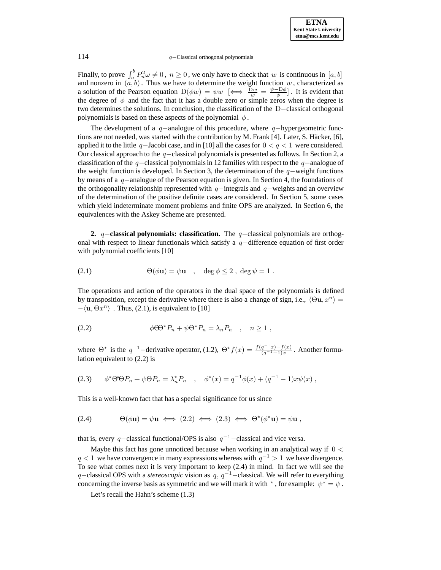Finally, to prove  $\int_a^b P_n^2 \omega \neq 0$ ,  $n \geq 0$ , we only have to check that w is continuous in  $[a, b]$ and nonzero in  $(a, b)$ . Thus we have to determine the weight function w, characterized as a solution of the Pearson equation  $D(\phi w) = \psi w \ \left[\iff \frac{Dw}{w} = \frac{\psi - D\phi}{\phi}\right]$ . It is evident that the degree of  $\phi$  and the fact that it has a double zero or simple zeros when the degree is two determines the solutions. In conclusion, the classification of the D−classical orthogonal polynomials is based on these aspects of the polynomial  $\phi$ .

The development of a  $q$ −analogue of this procedure, where  $q$ −hypergeometric functions are not needed, was started with the contribution by M. Frank [4]. Later, S. Häcker, [6], applied it to the little q-Jacobi case, and in [10] all the cases for  $0 < q < 1$  were considered. Our classical approach to the  $q$  -classical polynomials is presented as follows. In Section 2, a classification of the q−classical polynomials in 12 families with respect to the q−analogue of the weight function is developed. In Section 3, the determination of the  $q$ —weight functions by means of a q−analogue of the Pearson equation is given. In Section 4, the foundations of the orthogonality relationship represented with  $q$ −integrals and  $q$ −weights and an overview of the determination of the positive definite cases are considered. In Section 5, some cases which yield indeterminate moment problems and finite OPS are analyzed. In Section 6, the equivalences with the Askey Scheme are presented.

**2.** q−**classical polynomials: classification.** The q−classical polynomials are orthogonal with respect to linear functionals which satisfy a q−difference equation of first order with polynomial coefficients [10]

(2.1) 
$$
\Theta(\phi \mathbf{u}) = \psi \mathbf{u} , \quad \deg \phi \leq 2 , \deg \psi = 1 .
$$

The operations and action of the operators in the dual space of the polynomials is defined by transposition, except the derivative where there is also a change of sign, i.e.,  $\langle \Theta u, x^n \rangle =$  $-\langle$ **u**,  $\Theta x^n \rangle$ . Thus, (2.1), is equivalent to [10]

(2.2) 
$$
\phi \Theta^{\star} P_n + \psi \Theta^{\star} P_n = \lambda_n P_n \quad , \quad n \ge 1 ,
$$

where  $\Theta^*$  is the  $q^{-1}$ -derivative operator, (1.2),  $\Theta^* f(x) = \frac{f(q^{-1}x) - f(x)}{(q^{-1}-1)x}$ . Another formulation equivalent to (2.2) is

$$
(2.3) \qquad \phi^* \Theta \Theta P_n + \psi \Theta P_n = \lambda_n^* P_n \quad , \quad \phi^*(x) = q^{-1} \phi(x) + (q^{-1} - 1) x \psi(x) \ ,
$$

This is a well-known fact that has a special significance for us since

(2.4) 
$$
\Theta(\phi \mathbf{u}) = \psi \mathbf{u} \iff (2.2) \iff (2.3) \iff \Theta^*(\phi^* \mathbf{u}) = \psi \mathbf{u} ,
$$

that is, every q–classical functional/OPS is also  $q^{-1}$ –classical and vice versa.

Maybe this fact has gone unnoticed because when working in an analytical way if  $0 <$  $q < 1$  we have convergence in many expressions whereas with  $q^{-1} > 1$  we have divergence. To see what comes next it is very important to keep (2.4) in mind. In fact we will see the q–classical OPS with a *stereoscopic* vision as  $q, q^{-1}$ –classical. We will refer to everything concerning the inverse basis as symmetric and we will mark it with  $\star$ , for example:  $\psi^* = \psi$ .

Let's recall the Hahn's scheme (1.3)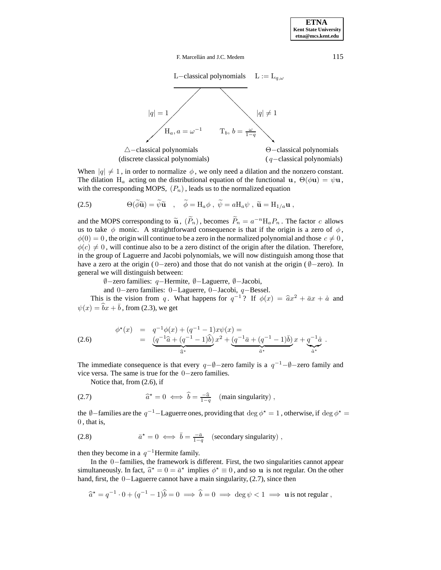

When  $|q| \neq 1$ , in order to normalize  $\phi$ , we only need a dilation and the nonzero constant. The dilation H<sub>a</sub> acting on the distributional equation of the functional **u**,  $\Theta(\phi \mathbf{u}) = \psi \mathbf{u}$ , with the corresponding MOPS,  $(P_n)$ , leads us to the normalized equation

(2.5) 
$$
\Theta(\widetilde{\phi}\widetilde{\mathbf{u}}) = \widetilde{\psi}\widetilde{\mathbf{u}} \quad , \quad \widetilde{\phi} = \mathrm{H}_a\phi \ , \ \widetilde{\psi} = a\mathrm{H}_a\psi \ , \ \widetilde{\mathbf{u}} = \mathrm{H}_{1/a}\mathbf{u} \ ,
$$

and the MOPS corresponding to  $\tilde{\mathbf{u}}$ ,  $(\tilde{P}_n)$ , becomes  $\tilde{P}_n = a^{-n} \mathbf{H}_a P_n$ . The factor c allows us to take  $\phi$  monic. A straightforward consequence is that if the origin is a zero of  $\phi$ ,  $\phi(0) = 0$ , the origin will continue to be a zero in the normalized polynomial and those  $c \neq 0$ ,  $\phi(c) \neq 0$ , will continue also to be a zero distinct of the origin after the dilation. Therefore, in the group of Laguerre and Jacobi polynomials, we will now distinguish among those that have a zero at the origin (  $0$ -zero) and those that do not vanish at the origin ( $\emptyset$ -zero). In general we will distinguish between:

∅−zero families: q−Hermite, ∅−Laguerre, ∅−Jacobi,

and 0−zero families: 0−Laguerre, 0−Jacobi, q−Bessel.

This is the vision from q. What happens for  $q^{-1}$ ? If  $\phi(x) = \hat{a}x^2 + \bar{a}x + \hat{a}$  and  $\psi(x) = \hat{b}x + \bar{b}$ , from (2.3), we get

(2.6) 
$$
\phi^*(x) = q^{-1}\phi(x) + (q^{-1} - 1)x\psi(x) = \underbrace{(q^{-1}\hat{a} + (q^{-1} - 1)\hat{b})}_{\hat{a}^*}x^2 + \underbrace{(q^{-1}\bar{a} + (q^{-1} - 1)\bar{b})}_{\bar{a}^*}x + \underbrace{q^{-1}\dot{a}}_{\hat{a}^*}.
$$

The immediate consequence is that every  $q-\emptyset$ -zero family is a  $q^{-1}-\emptyset$ -zero family and vice versa. The same is true for the 0−zero families.

Notice that, from (2.6), if

(2.7) 
$$
\widehat{a}^{\star} = 0 \iff \widehat{b} = \frac{-\widehat{a}}{1-q} \quad \text{(main singularity)},
$$

the  $\emptyset$ −families are the  $q^{-1}$ −Laguerre ones, providing that deg  $\phi^* = 1$ , otherwise, if deg  $\phi^* =$ 0 , that is,

(2.8) 
$$
\bar{a}^{\star} = 0 \iff \bar{b} = \frac{-\bar{a}}{1-q} \quad \text{(secondary singularity)},
$$

then they become in a  $q^{-1}$ Hermite family.

In the 0−families, the framework is different. First, the two singularities cannot appear simultaneously. In fact,  $\hat{a}^* = 0 = \bar{a}^*$  implies  $\phi^* \equiv 0$ , and so **u** is not regular. On the other hand, first, the 0−Laguerre cannot have a main singularity, (2.7), since then

$$
\widehat{a}^* = q^{-1} \cdot 0 + (q^{-1} - 1)\widehat{b} = 0 \implies \widehat{b} = 0 \implies \deg \psi < 1 \implies \text{u is not regular} \,,
$$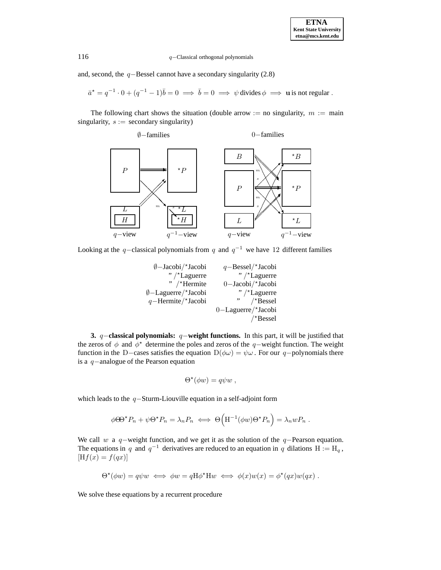and, second, the  $q$ −Bessel cannot have a secondary singularity (2.8)

$$
\bar{a}^{\star} = q^{-1} \cdot 0 + (q^{-1} - 1)\bar{b} = 0 \implies \bar{b} = 0 \implies \psi \text{ divides } \phi \implies \mathbf{u} \text{ is not regular }.
$$

The following chart shows the situation (double arrow := no singularity,  $m := \text{main}$ ) singularity,  $s :=$  secondary singularity)



Looking at the q–classical polynomials from q and  $q^{-1}$  we have 12 different families

| $\emptyset$ -Jacobi/*Jacobi | $q$ -Bessel/*Jacobi   |
|-----------------------------|-----------------------|
| "/ $\star$ Laguerre         | " $/$ *Laguerre       |
| " $/*$ Hermite              | $0$ -Jacobi/*Jacobi   |
| (0–Laguerre/*Jacobi         | "/ $\star$ Laguerre   |
| $q$ -Hermite/*Jacobi        | $/*Bessel$            |
|                             | $0$ -Laguerre/*Jacobi |
|                             | $/*Bessel$            |
|                             |                       |

**3.** q−**classical polynomials:** q−**weight functions.** In this part, it will be justified that the zeros of  $\phi$  and  $\phi^*$  determine the poles and zeros of the q−weight function. The weight function in the D−cases satisfies the equation  $D(\phi\omega) = \psi\omega$ . For our q−polynomials there is a q−analogue of the Pearson equation

$$
\Theta^{\star}(\phi w) = q \psi w ,
$$

which leads to the q−Sturm-Liouville equation in a self-adjoint form

$$
\phi \Theta^{\star} P_n + \psi \Theta^{\star} P_n = \lambda_n P_n \iff \Theta \Big( \mathcal{H}^{-1}(\phi w) \Theta^{\star} P_n \Big) = \lambda_n w P_n .
$$

We call w a q−weight function, and we get it as the solution of the q−Pearson equation. The equations in q and  $q^{-1}$  derivatives are reduced to an equation in q dilations H := H<sub>q</sub>,  $[Hf(x) = f(qx)]$ 

$$
\Theta^{\star}(\phi w) = q\psi w \iff \phi w = q\mathrm{H}\phi^{\star}\mathrm{H}w \iff \phi(x)w(x) = \phi^{\star}(qx)w(qx) .
$$

We solve these equations by a recurrent procedure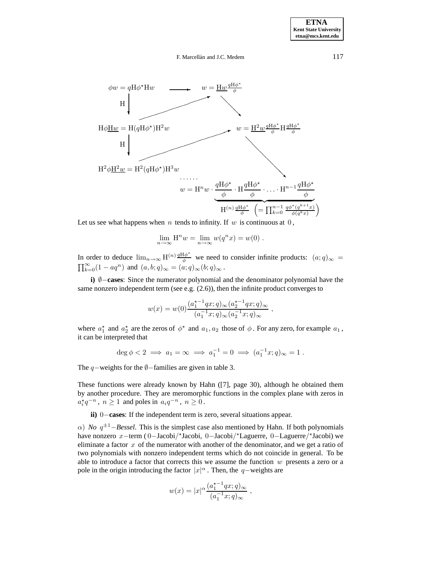

Let us see what happens when  $n$  tends to infinity. If  $w$  is continuous at  $0$ .

$$
\lim_{n \to \infty} \mathcal{H}^n w = \lim_{n \to \infty} w(q^n x) = w(0) .
$$

In order to deduce  $\lim_{n\to\infty} H^{(n)} \frac{qH\phi^*}{\phi}$  we need to consider infinite products:  $(a;q)_{\infty} = \prod_{k=0}^{\infty} (1 - aq^n)$  and  $(a, b; q)_{\infty} = (a; q)_{\infty} (b; q)_{\infty}$ .

**i)** ∅−**cases**: Since the numerator polynomial and the denominator polynomial have the same nonzero independent term (see e.g. (2.6)), then the infinite product converges to

$$
w(x) = w(0) \frac{(a_1^{\star -1}qx;q)_\infty (a_2^{\star -1}qx;q)_\infty}{(a_1^{-1}x;q)_\infty (a_2^{-1}x;q)_\infty} ,
$$

where  $a_1^*$  and  $a_2^*$  are the zeros of  $\phi^*$  and  $a_1, a_2$  those of  $\phi$ . For any zero, for example  $a_1$ , it can be interpreted that

$$
\deg \phi < 2 \implies a_1 = \infty \implies a_1^{-1} = 0 \implies (a_1^{-1}x; q)_{\infty} = 1.
$$

The  $q$ −weights for the  $\emptyset$ −families are given in table 3.

These functions were already known by Hahn ([7], page 30), although he obtained them by another procedure. They are meromorphic functions in the complex plane with zeros in  $a_i^* q^{-n}$ ,  $n \ge 1$  and poles in  $a_i q^{-n}$ ,  $n \ge 0$ .

**ii)** 0−**cases**: If the independent term is zero, several situations appear.

 $α)$  *No*  $q^{\pm 1}$ –*Bessel*. This is the simplest case also mentioned by Hahn. If both polynomials have nonzero x−term ( 0−Jacobi/?Jacobi, 0−Jacobi/?Laguerre, 0−Laguerre/?Jacobi) we eliminate a factor  $x$  of the numerator with another of the denominator, and we get a ratio of two polynomials with nonzero independent terms which do not coincide in general. To be able to introduce a factor that corrects this we assume the function  $w$  presents a zero or a pole in the origin introducing the factor  $|x|^\alpha$ . Then, the q-weights are

$$
w(x) = |x|^{\alpha} \frac{(a_1^{\star -1}qx;q)_{\infty}}{(a_1^{-1}x;q)_{\infty}},
$$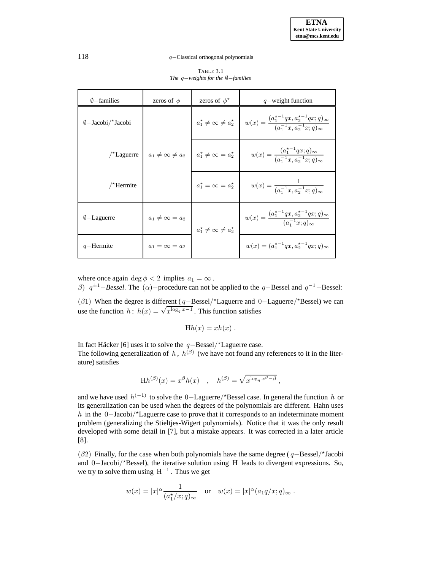TABLE 3.1 *The* q−*weights for the* ∅−*families*

| $\emptyset$ -families          | zeros of $\phi$            | zeros of $\phi^*$                       | $q$ – weight function                                                                    |
|--------------------------------|----------------------------|-----------------------------------------|------------------------------------------------------------------------------------------|
| $\emptyset$ —Jacobi/*Jacobi    |                            | $a_1^* \neq \infty \neq a_2^*$          | $w(x) = \frac{(a_1^{x-1}qx, a_2^{x-1}qx;q)_{\infty}}{(a_1^{-1}x, a_2^{-1}x;q)_{\infty}}$ |
| $\prime$ <sup>*</sup> Laguerre | $a_1 \neq \infty \neq a_2$ | $a_1^{\star} \neq \infty = a_2^{\star}$ | $w(x) = \frac{(a_1^{x-1}qx;q)_{\infty}}{(a_1^{-1}x,a_2^{-1}x;q)_{\infty}}$               |
| /*Hermite                      |                            | $a_1^* = \infty = a_2^*$                | $w(x) = \frac{1}{(a_1^{-1}x, a_2^{-1}x; a)_\infty}$                                      |
| $\emptyset$ -Laguerre          | $a_1 \neq \infty = a_2$    | $a_1^* \neq \infty \neq a_2^*$          | $w(x) = \frac{(a_1^{x-1}qx, a_2^{x-1}qx;q)_{\infty}}{(a_1^{-1}x; a)_{\infty}}$           |
| $q$ -Hermite                   | $a_1 = \infty = a_2$       |                                         | $w(x) = (a_1^{\star -1}qx, a_2^{\star -1}qx;q)_{\infty}$                                 |

where once again deg  $\phi < 2$  implies  $a_1 = \infty$ .

β)  $q^{\pm 1}$ –*Bessel*. The (α)–procedure can not be applied to the q–Bessel and  $q^{-1}$ –Bessel:

( $\beta$ 1) When the degree is different ( $q$ −Bessel/\*Laguerre and 0−Laguerre/\*Bessel) we can  $u(p_1)$  when the degree is different  $\left(\frac{q}{p-1}\right)^{1/2}$  . This function satisfies<br>use the function  $h$ :  $h(x) = \sqrt{x^{\log_q x - 1}}$ . This function satisfies

$$
Hh(x) = xh(x) .
$$

In fact Häcker [6] uses it to solve the q-Bessel/\*Laguerre case. The following generalization of h,  $h^{(\beta)}$  (we have not found any references to it in the literature) satisfies

$$
Hh^{(\beta)}(x) = x^{\beta}h(x) , h^{(\beta)} = \sqrt{x^{\log_q x^{\beta} - \beta}} ,
$$

and we have used  $h^{(-1)}$  to solve the 0−Laguerre/\*Bessel case. In general the function h or its generalization can be used when the degrees of the polynomials are different. Hahn uses h in the 0−Jacobi/?Laguerre case to prove that it corresponds to an indeterminate moment problem (generalizing the Stieltjes-Wigert polynomials). Notice that it was the only result developed with some detail in [7], but a mistake appears. It was corrected in a later article [8].

 $(\beta 2)$  Finally, for the case when both polynomials have the same degree ( $q$ –Bessel/\*Jacobi and 0−Jacobi/?Bessel), the iterative solution using H leads to divergent expressions. So, we try to solve them using  $H^{-1}$ . Thus we get

$$
w(x) = |x|^{\alpha} \frac{1}{(a_1^{\star}/x; q)_{\infty}}
$$
 or  $w(x) = |x|^{\alpha} (a_1 q/x; q)_{\infty}$ .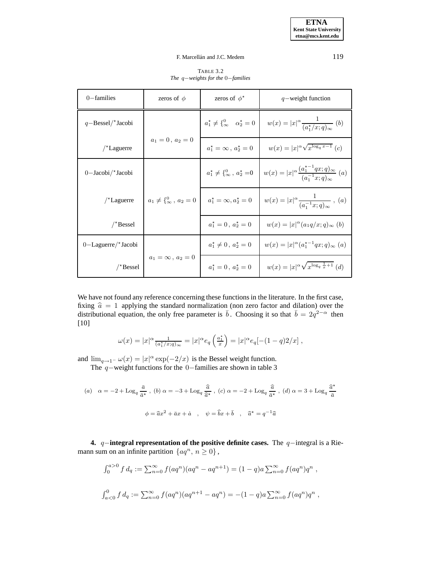0−families zeros of  $\phi$  zeros of  $\phi^*$  q−weight function q-Bessel/\*Jacobi  $x_1^* \neq \begin{cases} 0 & \alpha_2^* = 0 \end{cases}$   $w(x) = |x|^{\alpha} \frac{1}{(\alpha^*)^T}$  $\frac{1}{(a_1^{\star}/x;q)_{\infty}}$  (b)  $a_1 = 0$ ,  $a_2 = 0$  $/$ \*Laguerre  $x_1^* = \infty$ ,  $a_2^* = 0$   $w(x) = |x|^{\alpha} \sqrt{x^{\log_q x - 1}}$  (c) <sup>0</sup>−Jacobi/?Jacobi <sup>a</sup>?  $x_1^* \neq \{ \infty^0, a_2^* = 0 \mid w(x) = |x|^{\alpha} \frac{(a_1^{*-1}qx;q)_{\infty}}{(a_1^{-1}x;q)}$  $\frac{a_1}{(a_1^{-1}x;q)_{\infty}}$  (a)  $/$ \*Laguerre  $a_1 \neq \{^0_{\infty}, a_2 = 0 \}$  $\alpha_1^* = \infty, a_2^* = 0$   $w(x) = |x|^{\alpha} \frac{1}{(a^{-1}x)}$  $\frac{1}{(a_1^{-1}x;q)_{\infty}}$ ,  $(a)$  $/$ \*Bessel  $a_1^* = 0$ ,  $a_2^* = 0$   $w(x) = |x|^{\alpha} (a_1 q/x; q)_{\infty} (b)$ <sup>0</sup>−Laguerre/?Jacobi <sup>a</sup>?  $x_1^* \neq 0$ ,  $a_2^* = 0$   $w(x) = |x|^{\alpha} (a_1^{*-1}qx;q)_{\infty} (a)$  $a_1 = \infty$ ,  $a_2 = 0$  $/*$ Bessel  $a_1^* = 0$ ,  $a_2^* = 0$  $\chi_2^* = 0$   $w(x) = |x|^{\alpha} \sqrt{x^{\log_q \frac{1}{x} + 1}}$  (d)

TABLE 3.2 *The* q−*weights for the* 0−*families*

We have not found any reference concerning these functions in the literature. In the first case, fixing  $\hat{a} = 1$  applying the standard normalization (non zero factor and dilation) over the distributional equation, the only free parameter is  $\bar{b}$ . Choosing it so that  $\bar{b} = 2q^{2-\alpha}$  then [10]

$$
\omega(x) = |x|^{\alpha} \frac{1}{(a_1^{\star}/x;q)_{\infty}} = |x|^{\alpha} e_q \left( \frac{a_1^{\star}}{x} \right) = |x|^{\alpha} e_q \left[ -(1-q)2/x \right],
$$

and  $\lim_{q \to 1^-} \omega(x) = |x|^\alpha \exp(-2/x)$  is the Bessel weight function.

The q−weight functions for the 0−families are shown in table 3

$$
\begin{array}{llll} (a) & \alpha = -2 + \operatorname{Log}_q \frac{\bar{a}}{\bar{a}^{\star}} \; , \; (b) \; \alpha = -3 + \operatorname{Log}_q \frac{\widehat{a}}{\widehat{a}^{\star}} \; , \; (c) \; \alpha = -2 + \operatorname{Log}_q \frac{\widehat{a}}{\bar{a}^{\star}} \; , \; (d) \; \alpha = 3 + \operatorname{Log}_q \frac{\widehat{a}^{\star}}{\bar{a}} \vspace{0.2cm} \\ & & \\ & \phi = \widehat{a} x^2 + \bar{a} x + \dot{a} \quad , \quad \psi = \widehat{b} x + \bar{b} \quad , \quad \widehat{a}^{\star} = q^{-1} \widehat{a} \end{array}
$$

**4.** q−**integral representation of the positive definite cases.** The q−integral is a Riemann sum on an infinite partition  $\{aq^n, n \geq 0\}$ ,

$$
\int_0^{a>0} f d_q := \sum_{n=0}^{\infty} f(aq^n)(aq^n - aq^{n+1}) = (1-q)a \sum_{n=0}^{\infty} f(aq^n)q^n ,
$$
  

$$
\int_{a<0}^0 f d_q := \sum_{n=0}^{\infty} f(aq^n)(aq^{n+1} - aq^n) = -(1-q)a \sum_{n=0}^{\infty} f(aq^n)q^n ,
$$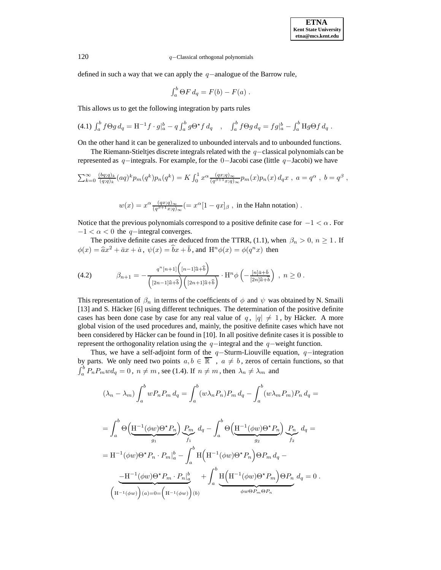defined in such a way that we can apply the q−analogue of the Barrow rule,

$$
\int_a^b \Theta F d_q = F(b) - F(a)
$$

This allows us to get the following integration by parts rules

$$
(4.1) \int_a^b f \Theta g \, d_q = \mathcal{H}^{-1} f \cdot g \big|_a^b - q \int_a^b g \Theta^{\star} f \, d_q \quad , \quad \int_a^b f \Theta g \, d_q = f g \big|_a^b - \int_a^b \mathcal{H} g \Theta f \, d_q \; .
$$

On the other hand it can be generalized to unbounded intervals and to unbounded functions.

The Riemann-Stieltjes discrete integrals related with the  $q$  -classical polynomials can be represented as  $q$ −integrals. For example, for the 0−Jacobi case (little  $q$ −Jacobi) we have

$$
\sum_{k=0}^{\infty} \frac{(bq;q)_k}{(q;q)_k} (aq)^k p_m(q^k) p_n(q^k) = K \int_0^1 x^{\alpha} \frac{(qx;q)_{\infty}}{(q^{\beta+1}x;q)_{\infty}} p_m(x) p_n(x) d_q x , a = q^{\alpha} , b = q^{\beta} ,
$$

$$
w(x)=x^\alpha\frac{(qx;q)_\infty}{(q^{\beta+1}x;q)_\infty} (=x^\alpha[1-qx]_\beta
$$
 , in the Hahn notation) .

Notice that the previous polynomials correspond to a positive definite case for  $-1 < \alpha$ . For  $-1 < \alpha < 0$  the q-integral converges.

The positive definite cases are deduced from the TTRR, (1.1), when  $\beta_n > 0$ ,  $n \ge 1$ . If  $\phi(x) = \hat{a}x^2 + \bar{a}x + \dot{a}$ ,  $\psi(x) = \hat{b}x + \bar{b}$ , and  $H^n\phi(x) = \phi(q^n x)$  then

$$
(4.2) \qquad \beta_{n+1} = -\frac{q^n[n+1]\left([n-1]\widehat{a}+\widehat{b}\right)}{\left([2n-1]\widehat{a}+\widehat{b}\right)\left([2n+1]\widehat{a}+\widehat{b}\right)} \cdot \mathcal{H}^n \phi\left(-\frac{[n]\overline{a}+\overline{b}}{[2n]\widehat{a}+\widehat{b}}\right), \ n \ge 0 \ .
$$

This representation of  $\beta_n$  in terms of the coefficients of  $\phi$  and  $\psi$  was obtained by N. Smaili [13] and S. Häcker [6] using different techniques. The determination of the positive definite cases has been done case by case for any real value of  $q$ ,  $|q| \neq 1$ , by Häcker. A more global vision of the used procedures and, mainly, the positive definite cases which have not been considered by Häcker can be found in [10]. In all positive definite cases it is possible to represent the orthogonality relation using the q−integral and the q−weight function.

Thus, we have a self-adjoint form of the  $q-$ Sturm-Liouville equation,  $q-$ integration by parts. We only need two points  $a, b \in \overline{\mathbb{R}}$ ,  $a \neq b$ , zeros of certain functions, so that  $\int_a^b P_n P_m w d_q = 0$ ,  $n \neq m$ , see (1.4). If  $n \neq m$ , then  $\lambda_n \neq \lambda_m$  and

$$
(\lambda_n - \lambda_m) \int_a^b w P_n P_m d_q = \int_a^b (w \lambda_n P_n) P_m d_q - \int_a^b (w \lambda_m P_m) P_n d_q =
$$
  
\n
$$
= \int_a^b \Theta \Big( \underbrace{H^{-1}(\phi w) \Theta^{\star} P_n}_{g_1} \Big) \underbrace{P_m}_{f_1} d_q - \int_a^b \Theta \Big( \underbrace{H^{-1}(\phi w) \Theta^{\star} P_n}_{g_2} \Big) \underbrace{P_n}_{f_2} d_q =
$$
  
\n
$$
= H^{-1}(\phi w) \Theta^{\star} P_n \cdot P_m \big|_a^b - \int_a^b H \Big( H^{-1}(\phi w) \Theta^{\star} P_n \Big) \Theta P_m d_q -
$$
  
\n
$$
- \underbrace{H^{-1}(\phi w) \Theta^{\star} P_m \cdot P_n \big|_a^b}_{\big( H^{-1}(\phi w) \Theta^{\star} P_m} + \int_a^b \underbrace{H \Big( H^{-1}(\phi w) \Theta^{\star} P_m \Big) \Theta P_n}_{\phi w \Theta P_m \Theta P_n} d_q = 0.
$$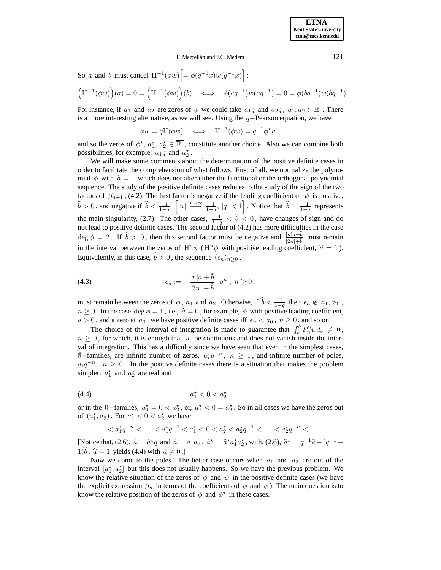So *a* and *b* must cancel H<sup>-1</sup>(
$$
\phi w
$$
) $\Big[ = \phi(q^{-1}x)w(q^{-1}x) \Big]$ :  
\n
$$
\Big(\mathrm{H}^{-1}(\phi w)\Big)(a) = 0 = \Big(\mathrm{H}^{-1}(\phi w)\Big)(b) \iff \phi(aq^{-1})w(aq^{-1}) = 0 = \phi(bq^{-1})w(bq^{-1}) .
$$

For instance, if  $a_1$  and  $a_2$  are zeros of  $\phi$  we could take  $a_1q$  and  $a_2q$ ,  $a_1, a_2 \in \overline{\mathbb{R}}$ . There is a more interesting alternative, as we will see. Using the  $q$ −Pearson equation, we have

 $\phi w = qH(\phi w) \iff H^{-1}(\phi w) = q^{-1}\phi^*w,$ 

and so the zeros of  $\phi^*, a_1^*, a_2^* \in \overline{\mathbb{R}}$ , constitute another choice. Also we can combine both possibilities, for example:  $a_1q$  and  $a_2^{\star}$ .

We will make some comments about the determination of the positive definite cases in order to facilitate the comprehension of what follows. First of all, we normalize the polynomial  $\phi$  with  $\hat{a} = 1$  which does not alter either the functional or the orthogonal polynomial sequence. The study of the positive definite cases reduces to the study of the sign of the two factors of  $\beta_{n+1}$ , (4.2). The first factor is negative if the leading coefficient of  $\psi$  is positive,  $\hat{b} > 0$ , and negative if  $\hat{b} < \frac{-1}{1-q}$  $\left[ n \right] \stackrel{n \to \infty}{\longrightarrow} \frac{-1}{1-q}$ ,  $|q| < 1$ . Notice that  $\hat{b} = \frac{-1}{1-q}$  represents the main singularity, (2.7). The other cases,  $\frac{-1}{1-q} < \hat{b} < 0$ , have changes of sign and do not lead to positive definite cases. The second factor of  $(4.2)$  has more difficulties in the case  $\deg \phi = 2$ . If  $\hat{b} > 0$ , then this second factor must be negative and  $\frac{[n]\bar{a}+\bar{b}}{[2n]+\hat{b}}$  must remain in the interval between the zeros of  $H^n\phi$  ( $H^n\phi$  with positive leading coefficient,  $\hat{a} = 1$ ). Equivalently, in this case,  $\hat{b} > 0$ , the sequence  $(\epsilon_n)_{n>0}$ ,

(4.3) 
$$
\epsilon_n := -\frac{[n]\bar{a} + \bar{b}}{[2n] + \hat{b}} \cdot q^n , \ n \ge 0 ,
$$

must remain between the zeros of  $\phi$ ,  $a_1$  and  $a_2$ . Otherwise, if  $\hat{b} < \frac{-1}{1-q}$  then  $\epsilon_n \notin [a_1, a_2]$ ,  $n \geq 0$ . In the case  $\deg \phi = 1$ , i.e.,  $\hat{a} = 0$ , for example,  $\phi$  with positive leading coefficient,  $\bar{a} > 0$ , and a zero at  $a_0$ , we have positive definite cases iff  $\epsilon_n < a_0$ ,  $n \ge 0$ , and so on.

The choice of the interval of integration is made to guarantee that  $\int_a^b P_n^2 w d_q \neq 0$ ,  $n \geq 0$ , for which, it is enough that w be continuous and does not vanish inside the interval of integration. This has a difficulty since we have seen that even in the simplest cases,  $\emptyset$ −families, are infinite number of zeros,  $a_i^* q^{-n}$ ,  $n \geq 1$ , and infinite number of poles,  $a_i q^{-n}$ ,  $n \geq 0$ . In the positive definite cases there is a situation that makes the problem simpler:  $a_1^*$  and  $a_2^*$  are real and

(4.4)

\n
$$
a_1^* < 0 < a_2^*
$$

or in the 0–families,  $a_1^* = 0 < a_2^*$ , or,  $a_1^* < 0 = a_2^*$ . So in all cases we have the zeros out of  $(a_1^{\star}, a_2^{\star})$ . For  $a_1^{\star} < 0 < a_2^{\star}$  we have

$$
\ldots < a_1^{\star} q^{-n} < \ldots < a_1^{\star} q^{-1} < a_1^{\star} < 0 < a_2^{\star} < a_2^{\star} q^{-1} < \ldots < a_2^{\star} q^{-n} < \ldots
$$

[Notice that, (2.6),  $\dot{a} = \dot{a} \cdot q$  and  $\dot{a} = a_1 a_2$ ,  $\dot{a} \cdot \dot{a} = \hat{a} \cdot a_1^* a_2^*$ , with, (2.6),  $\hat{a} \cdot \dot{a} = q^{-1} \hat{a} + (q^{-1} - q^{-1}) \hat{a}$  $1)\hat{b}$ ,  $\hat{a} = 1$  yields (4.4) with  $\hat{a} \neq 0$ .]

Now we come to the poles. The better case occurs when  $a_1$  and  $a_2$  are out of the interval  $[a_1^*, a_2^*]$  but this does not usually happens. So we have the previous problem. We know the relative situation of the zeros of  $\phi$  and  $\psi$  in the positive definite cases (we have the explicit expression  $\beta_n$  in terms of the coefficients of  $\phi$  and  $\psi$ ). The main question is to know the relative position of the zeros of  $\phi$  and  $\phi^*$  in these cases.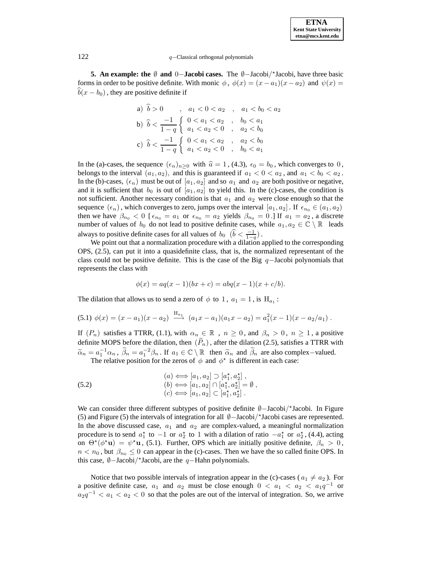**5. An example: the** ∅ **and** 0−**Jacobi cases.** The ∅−Jacobi/?Jacobi, have three basic forms in order to be positive definite. With monic  $\phi$ ,  $\phi(x)=(x - a_1)(x - a_2)$  and  $\psi(x) =$  $b(x - b_0)$ , they are positive definite if

a) 
$$
b > 0
$$
,  $a_1 < 0 < a_2$ ,  $a_1 < b_0 < a_2$   
\nb)  $\hat{b} < \frac{-1}{1-q} \begin{cases} 0 < a_1 < a_2 \\ a_1 < a_2 < 0 \end{cases}$ ,  $b_0 < a_1$   
\nc)  $\hat{b} < \frac{-1}{1-q} \begin{cases} 0 < a_1 < a_2 \\ a_1 < a_2 < 0 \end{cases}$ ,  $a_2 < b_0$   
\nd)  $a_1 < a_2 < 0$ ,  $b_0 < a_1$ 

In the (a)-cases, the sequence  $(\epsilon_n)_{n>0}$  with  $\hat{a} = 1$ , (4.3),  $\epsilon_0 = b_0$ , which converges to 0, belongs to the interval  $(a_1, a_2)$ , and this is guaranteed if  $a_1 < 0 < a_2$ , and  $a_1 < b_0 < a_2$ . In the (b)-cases,  $(\epsilon_n)$  must be out of  $[a_1, a_2]$  and so  $a_1$  and  $a_2$  are both positive or negative, and it is sufficient that  $b_0$  is out of  $[a_1, a_2]$  to yield this. In the (c)-cases, the condition is not sufficient. Another necessary condition is that  $a_1$  and  $a_2$  were close enough so that the sequence  $(\epsilon_n)$ , which converges to zero, jumps over the interval  $[a_1, a_2]$ . If  $\epsilon_{n_0} \in (a_1, a_2)$ then we have  $\beta_{n_0} < 0$  [ $\epsilon_{n_0} = a_1$  or  $\epsilon_{n_0} = a_2$  yields  $\beta_{n_0} = 0$ .] If  $a_1 = a_2$ , a discrete number of values of  $b_0$  do not lead to positive definite cases, while  $a_1, a_2 \in \mathbb{C} \setminus \mathbb{R}$  leads always to positive definite cases for all values of  $b_0$   $(\hat{b} < \frac{-1}{1-q})$ .

We point out that a normalization procedure with a dilation applied to the corresponding OPS, (2.5), can put it into a quasidefinite class, that is, the normalized representant of the class could not be positive definite. This is the case of the Big  $q$ -Jacobi polynomials that represents the class with

$$
\phi(x) = aq(x-1)(bx+c) = abq(x-1)(x+c/b).
$$

The dilation that allows us to send a zero of  $\phi$  to 1,  $a_1 = 1$ , is  $H_{a_1}$ :

$$
(5.1) \phi(x) = (x - a_1)(x - a_2) \xrightarrow{H_{a_1}} (a_1x - a_1)(a_1x - a_2) = a_1^2(x - 1)(x - a_2/a_1).
$$

If  $(P_n)$  satisfies a TTRR, (1.1), with  $\alpha_n \in \mathbb{R}$ ,  $n \geq 0$ , and  $\beta_n > 0$ ,  $n \geq 1$ , a positive definite MOPS before the dilation, then  $(\tilde{P}_n)$ , after the dilation (2.5), satisfies a TTRR with  $\widetilde{\alpha}_n = a_1^{-1} \alpha_n$ ,  $\widetilde{\beta}_n = a_1^{-2} \beta_n$ . If  $a_1 \in \mathbb{C} \setminus \mathbb{R}$  then  $\widetilde{\alpha}_n$  and  $\widetilde{\beta}_n$  are also complex-valued.

The relative position for the zeros of  $\phi$  and  $\phi^*$  is different in each case:

(5.2)   
\n
$$
\begin{aligned}\n(a) &\Longleftrightarrow [a_1, a_2] \supset [a_1^{\star}, a_2^{\star}], \\
(b) &\Longleftrightarrow [a_1, a_2] \cap [a_1^{\star}, a_2^{\star}] = \emptyset, \\
(c) &\Longleftrightarrow [a_1, a_2] \subset [a_1^{\star}, a_2^{\star}].\n\end{aligned}
$$

We can consider three different subtypes of positive definite  $\emptyset$ −Jacobi/\*Jacobi. In Figure (5) and Figure (5) the intervals of integration for all ∅−Jacobi/?Jacobi cases are represented. In the above discussed case,  $a_1$  and  $a_2$  are complex-valued, a meaningful normalization procedure is to send  $a_1^*$  to  $-1$  or  $a_2^*$  to 1 with a dilation of ratio  $-a_1^*$  or  $a_2^*$ , (4.4), acting on  $\Theta^{\star}(\phi^{\star}\mathbf{u}) = \psi^{\star}\mathbf{u}$ , (5.1). Further, OPS which are initially positive definite,  $\beta_n > 0$ ,  $n < n_0$ , but  $\beta_{n_0} \leq 0$  can appear in the (c)-cases. Then we have the so called finite OPS. In this case,  $\emptyset$ -Jacobi/ $\star$ Jacobi, are the q-Hahn polynomials.

Notice that two possible intervals of integration appear in the (c)-cases ( $a_1 \neq a_2$ ). For a positive definite case,  $a_1$  and  $a_2$  must be close enough  $0 < a_1 < a_2 < a_1q^{-1}$  or  $a_2q^{-1} < a_1 < a_2 < 0$  so that the poles are out of the interval of integration. So, we arrive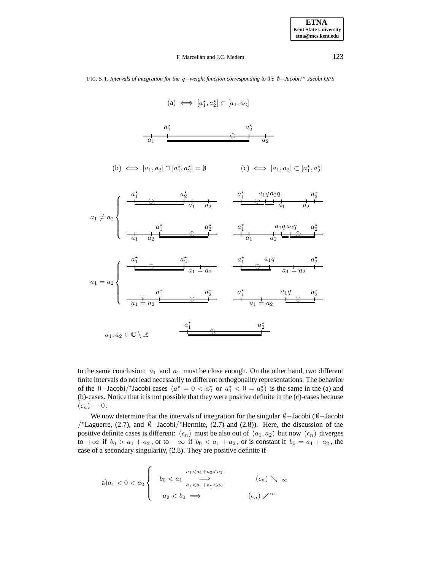$a_2^{\star}$ 

#### F. Marcellán and J.C. Medem 123

FIG. 5.1. *Intervals of integration for the* <sup>q</sup>−*weight function corresponding to the* ∅−*Jacobi*/? *Jacobi OPS*

$$
(a) \iff [a_1^{\star}, a_2^{\star}] \subset [a_1, a_2]
$$
\n
$$
a_1^{\star}
$$
\n
$$
a_2^{\star}
$$
\n
$$
(b) \iff [a_1, a_2] \cap [a_1^{\star}, a_2^{\star}] = \emptyset
$$
\n
$$
(c) \iff [a_1, a_2] \subset [a_1^{\star}, a_2^{\star}]
$$
\n
$$
\left( \begin{array}{ccc} \frac{a_1^{\star}}{2} & \frac{a_2^{\star}}{2} \\ \frac{a_1^{\star}}{2} & \frac{a_1^{\star}}{2} & \frac{a_1^{\star}}{2} \\ \frac{a_1^{\star}}{2} & \frac{a_2^{\star}}{2} & \frac{a_1^{\star}}{2} \\ \frac{a_1^{\star}}{2} & \frac{a_2^{\star}}{2} & \frac{a_1^{\star}}{2} \\ \frac{a_1^{\star}}{2} & \frac{a_2^{\star}}{2} & \frac{a_1^{\star}}{2} \\ \frac{a_1^{\star}}{2} & \frac{a_2^{\star}}{2} & \frac{a_1^{\star}}{2} \\ \frac{a_1^{\star}}{2} & \frac{a_2^{\star}}{2} & \frac{a_1^{\star}}{2} \\ \frac{a_1^{\star}}{2} & \frac{a_2^{\star}}{2} & \frac{a_1^{\star}}{2} \\ \frac{a_1^{\star}}{2} & \frac{a_2^{\star}}{2} & \frac{a_1^{\star}}{2} \\ \frac{a_1^{\star}}{2} & \frac{a_2^{\star}}{2} & \frac{a_1^{\star}}{2} \\ \frac{a_1^{\star}}{2} & \frac{a_1^{\star}}{2} & \frac{a_1^{\star}}{2} & \frac{a_1^{\star}}{2} \\ \frac{a_1^{\star}}{2} & \frac{a_1^{\star}}{2} & \frac{a_1^{\star}}{2} & \frac{a_1^{\star}}{2} \\ \frac{a_1^{\star}}{2} & \frac{a_1^{\star}}{
$$

a1 ⊕ a2 a? <sup>1</sup> a? <sup>2</sup> a? 1 ⊕ a<sup>1</sup> a<sup>2</sup> a1q a2q a? 2 a<sup>1</sup> 6= a<sup>2</sup> 

$$
a_1 = a_2 \begin{cases} \begin{array}{c} a_1^{\star} & a_2^{\star} \\ \hline & a_1 = a_2 \end{array} & \begin{array}{c} a_1^{\star} & a_1 q \\ \hline & a_1 = a_2 \end{array} & \begin{array}{c} a_2^{\star} & a_1 q \\ \hline & a_1 = a_2 \end{array} \\ \begin{array}{c} a_1^{\star} & a_2^{\star} \\ \hline & a_1 = a_2 \end{array} & \begin{array}{c} a_1^{\star} & a_1 q \\ \hline & a_1 q \\ \hline & a_1^{\star} = a_2 \end{array} & \begin{array}{c} a_2^{\star} & a_2^{\star} \\ \hline & a_1 = a_2 \end{array} & \begin{array}{c} a_2^{\star} & a_2^{\star} \\ \hline & a_2^{\star} \\ \hline & a_2^{\star} \end{array}
$$

to the same conclusion:  $a_1$  and  $a_2$  must be close enough. On the other hand, two different finite intervals do not lead necessarily to different orthogonality representations. The behavior of the 0-Jacobi/\*Jacobi cases  $(a_1^* = 0 < a_2^*$  or  $a_1^* < 0 = a_2^*$ ) is the same in the (a) and (b)-cases. Notice that it is not possible that they were positive definite in the (c)-cases because  $(\epsilon_n) \rightarrow 0$ .

We now determine that the intervals of integration for the singular  $\emptyset$ −Jacobi ( $\emptyset$ −Jacobi /?Laguerre, (2.7), and ∅−Jacobi/?Hermite, (2.7) and (2.8)). Here, the discussion of the positive definite cases is different:  $(\epsilon_n)$  must be also out of  $(a_1, a_2)$  but now  $(\epsilon_n)$  diverges to  $+\infty$  if  $b_0 > a_1 + a_2$ , or to  $-\infty$  if  $b_0 < a_1 + a_2$ , or is constant if  $b_0 = a_1 + a_2$ , the case of a secondary singularity, (2.8). They are positive definite if

$$
a)a_1 < 0 < a_2
$$
\n
$$
\begin{cases}\n b_0 < a_1 \underset{a_1 < a_1 + a_2 < a_2}{\Longrightarrow} & (\epsilon_n) \searrow_{-\infty} \\
 a_2 < b_0 \Longrightarrow & (\epsilon_n) \nearrow^{\infty}\n\end{cases}
$$

 $\overline{ }$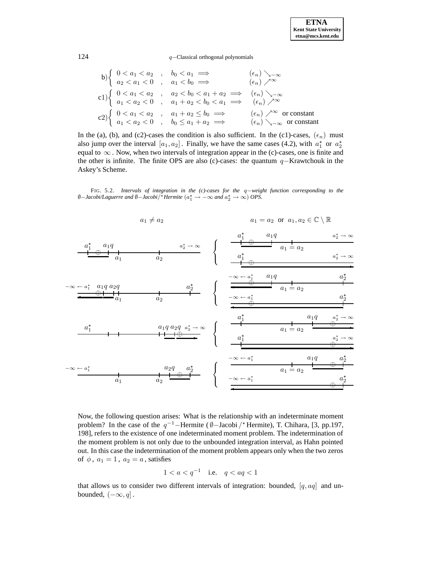$$
b) \left\{ \begin{array}{lll} 0 < a_1 < a_2 & , & b_0 < a_1 \implies & & (\epsilon_n) \searrow_{-\infty} \\ a_2 < a_1 < 0 & , & a_1 < b_0 \implies & & (\epsilon_n) \nearrow^{\infty} \\ \epsilon 1) \left\{ \begin{array}{lll} 0 < a_1 < a_2 & , & a_2 < b_0 < a_1 + a_2 \implies & (\epsilon_n) \searrow_{-\infty} \\ a_1 < a_2 < 0 & , & a_1 + a_2 < b_0 < a_1 \implies & (\epsilon_n) \nearrow^{\infty} \\ \epsilon 2) \left\{ \begin{array}{lll} 0 < a_1 < a_2 & , & a_1 + a_2 \leq b_0 \implies & & (\epsilon_n) \nearrow^{\infty} \text{ or constant} \\ a_1 < a_2 < 0 & , & b_0 \leq a_1 + a_2 \implies & & (\epsilon_n) \searrow_{-\infty} \text{ or constant} \end{array} \right.
$$

In the (a), (b), and (c2)-cases the condition is also sufficient. In the (c1)-cases,  $(\epsilon_n)$  must also jump over the interval  $[a_1, a_2]$ . Finally, we have the same cases (4.2), with  $a_1^*$  or  $a_2^*$ equal to  $\infty$ . Now, when two intervals of integration appear in the (c)-cases, one is finite and the other is infinite. The finite OPS are also (c)-cases: the quantum  $q$ –Krawtchouk in the Askey's Scheme.

FIG. 5.2. *Intervals of integration in the (c)-cases for the* q−*weight function corresponding to the* ∅−*Jacobi/Laguerre and* ∅−*Jacobi*/?*Hermite* (a? <sup>1</sup> → −∞ *and* <sup>a</sup>? <sup>2</sup> → ∞) *OPS.*



Now, the following question arises: What is the relationship with an indeterminate moment problem? In the case of the  $q^{-1}$ −Hermite ( $\emptyset$ −Jacobi /\* Hermite), T. Chihara, [3, pp.197, 198], refers to the existence of one indeterminated moment problem. The indetermination of the moment problem is not only due to the unbounded integration interval, as Hahn pointed out. In this case the indetermination of the moment problem appears only when the two zeros of  $\phi$ ,  $a_1 = 1$ ,  $a_2 = a$ , satisfies

$$
1 < a < q^{-1} \quad \text{i.e.} \quad q < aq < 1
$$

that allows us to consider two different intervals of integration: bounded,  $[q, aq]$  and unbounded,  $(-\infty, q]$ .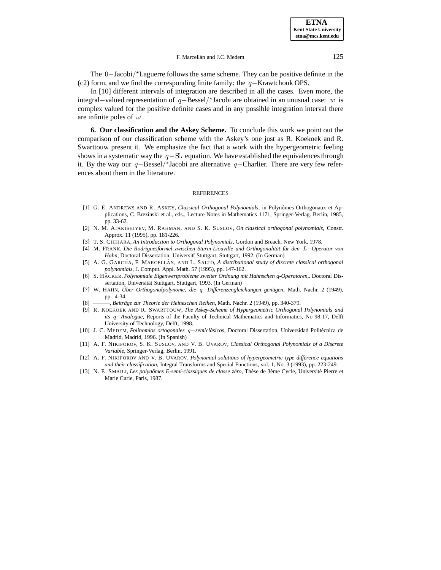The 0−Jacobi/?Laguerre follows the same scheme. They can be positive definite in the (c2) form, and we find the corresponding finite family: the q−Krawtchouk OPS.

In [10] different intervals of integration are described in all the cases. Even more, the integral–valued representation of  $q$ –Bessel/ $\star$ Jacobi are obtained in an unusual case: w is complex valued for the positive definite cases and in any possible integration interval there are infinite poles of  $\omega$ .

**6. Our classification and the Askey Scheme.** To conclude this work we point out the comparison of our classification scheme with the Askey's one just as R. Koekoek and R. Swarttouw present it. We emphasize the fact that a work with the hypergeometric feeling shows in a systematic way the  $q-\mathbf{S}$  equation. We have established the equivalences through it. By the way our  $q$ −Bessel/\*Jacobi are alternative  $q$ −Charlier. There are very few references about them in the literature.

#### REFERENCES

- [1] G. E. ANDREWS AND R. ASKEY, *Classical Orthogonal Polynomials*, in Polynômes Orthogonaux et Applications, C. Brezinski et al., eds., Lecture Notes in Mathematics 1171, Springer-Verlag. Berlin, 1985, pp. 33-62.
- [2] N. M. ATAKISHIYEV, M. RAHMAN, AND S. K. SUSLOV, *On classical orthogonal polynomials*, Constr. Approx. 11 (1995), pp. 181-226.
- [3] T. S. CHIHARA, *An Introduction to Orthogonal Polynomials*, Gordon and Breach, New York, 1978.
- [4] M. FRANK, *Die Rodriguesformel zwischen Sturm-Liouville und Orthogonalität für den* L−*Operator von Hahn*, Doctoral Dissertation, Universiti Stuttgart, Stuttgart, 1992. (In German)
- [5] A. G. GARCIÍA, F. MARCELLÁN, AND L. SALTO, *A distributional study of discrete classical orthogonal polynomials*, J. Comput. Appl. Math. 57 (1995), pp. 147-162.
- [6] S. HÄCKER, *Polynomiale Eigenwertprobleme zweiter Ordnung mit Hahnschen q-Operatoren*,. Doctoral Dissertation, Universität Stuttgart, Stuttgart, 1993. (In German)
- [7] W. HAHN, *Über Orthogonalpolynome, die q−Differenzengleichungen genügen*, Math. Nachr. 2 (1949), pp. 4-34.
- [8] , *Beitr¨age zur Theorie der Heineschen Reihen*, Math. Nachr. 2 (1949), pp. 340-379.
- [9] R. KOEKOEK AND R. SWARTTOUW, *The Askey-Scheme of Hypergeometric Orthogonal Polynomials and its* q−*Analogue*, Reports of the Faculty of Technical Mathematics and Informatics, No 98-17, Delft University of Technology, Delft, 1998.
- [10] J. C. MEDEM, *Polinomios ortogonales* q−*semicl´asicos*, Doctoral Dissertation, Universidad Polit´ecnica de Madrid, Madrid, 1996. (In Spanish)
- [11] A. F. NIKIFOROV, S. K. SUSLOV, AND V. B. UVAROV, *Classical Orthogonal Polynomials of a Discrete Variable*, Springer-Verlag, Berlin, 1991.
- [12] A. F. NIKIFOROV AND V. B. UVAROV, *Polynomial solutions of hypergeometric type difference equations and their classification*, Integral Transforms and Special Functions, vol. 1, No. 3 (1993), pp. 223-249.
- [13] N. E. SMAILI, *Les polynômes E-semi-classiques de classe zéro*, Thèse de 3ème Cycle, Université Pierre et Marie Curie, Paris, 1987.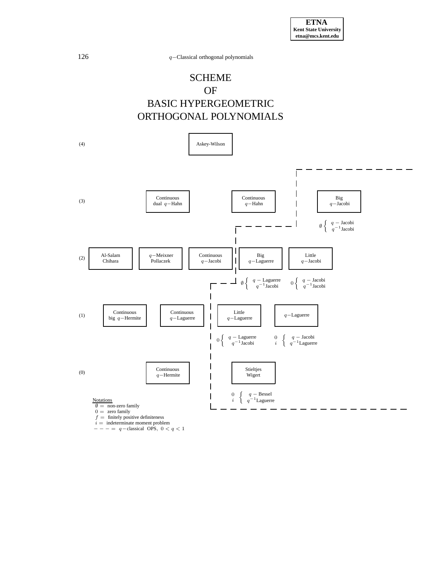# **SCHEME** OF BASIC HYPERGEOMETRIC ORTHOGONAL POLYNOMIALS



 $-$  - = q-classical OPS,  $0 < q < 1$